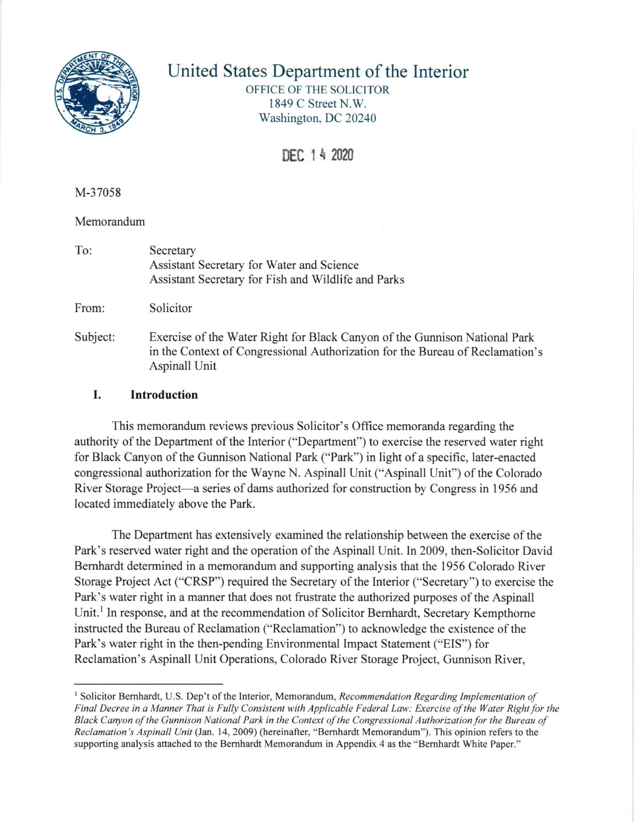

## United States Department of the Interior

OFFICE OF THE SOLICITOR 1849 C Street N.W. Washington, DC 20240

DEC 1 4 2020

M-37058

## Memorandum

To: Secretary Assistant Secretary for Water and Science Assistant Secretary for Fish and Wildlife and Parks

From: Solicitor

Subject: Exercise of the Water fught for Black Canyon of the Gunnison National Park in the Context of Congressional Authorization for the Bureau of Reclamation's Aspinall Unit

## I. Introduction

This memorandum reviews previous Solicitor's Office memoranda regarding the authority of the Department of the Interior ("Department") to exercise the reserved water right for Black Canyon of the Gunnison National Park ("Park") in light of a specific, later-enacted congressional authorization for the Wayne N. Aspinall Unit ("Aspinall Unit") of the Colorado River Storage Project-a series of dams authorized for construction by Congress in 1956 and located immediately above the Park.

The Department has extensively examined the relationship between the exercise of the Park's reserved water right and the operation of the Aspinall Unit. In 2009, then-Solicitor David Bemhardt determined in a memorandum and supporting analysis that the 1956 Colorado River Storage Project Act ("CRSP") required the Secretary of the Interior ("Secretary") to exercise the Park's water right in a manner that does not frustrate the authorized purposes of the Aspinall Unit.<sup>1</sup> In response, and at the recommendation of Solicitor Bernhardt, Secretary Kempthorne instructed the Bureau of Reclamation ("Reclamation") to acknowledge the existence of the Park's water right in the then-pending Environmental Impact Statement ("EIS") for Reclamation's Aspinall Unit Operations, Colorado River Storage Project, Gunnison River,

<sup>&</sup>lt;sup>1</sup> Solicitor Bernhardt, U.S. Dep't of the Interior, Memorandum, Recommendation Regarding Implementation of Final Decree in a Manner That is Fully Consistent with Applicable Federal Law: Exercise of the Water Right for the Black Canyon of the Gunnison National Park in the Context of the Congressional Authorization for the Bureau of Reclamation's Aspinall Unit (Jan. 14, 2009) (hereinafter, "Bernhardt Memorandum"). This opinion refers to the supporting analysis attached to the Bernhardt Memorandum in Appendix 4 as the "Bernhardt White Paper."